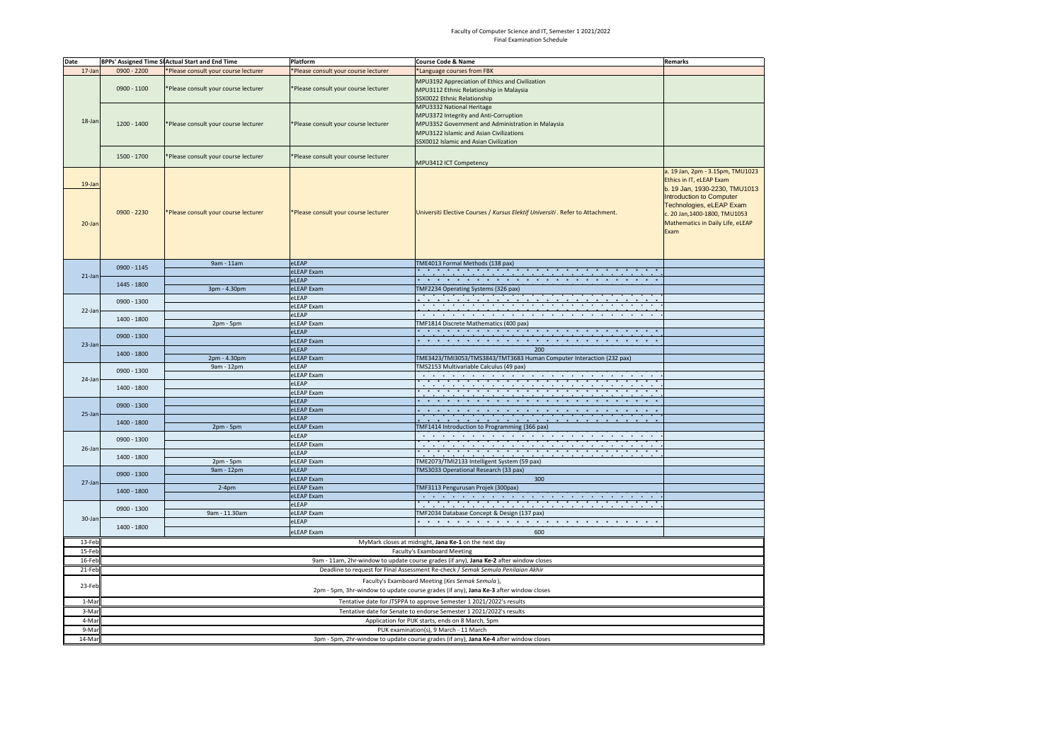## Faculty of Computer Science and IT, Semester 1 2021/2022 Final Examination Schedule

| Date             |                                                                     | BPPs' Assigned Time SI Actual Start and End Time<br>Platform<br>Course Code & Name                                                       |                                      |                                                                                                                                                                                                              |                                                                                                                                                                                                                                           |  |  |  |  |  |  |  |
|------------------|---------------------------------------------------------------------|------------------------------------------------------------------------------------------------------------------------------------------|--------------------------------------|--------------------------------------------------------------------------------------------------------------------------------------------------------------------------------------------------------------|-------------------------------------------------------------------------------------------------------------------------------------------------------------------------------------------------------------------------------------------|--|--|--|--|--|--|--|
| 17-Jan           | 0900 - 2200                                                         | *Please consult your course lecturer                                                                                                     | *Please consult your course lecturer | *Language courses from FBK                                                                                                                                                                                   | Remarks                                                                                                                                                                                                                                   |  |  |  |  |  |  |  |
| 18-Jan           | 0900 - 1100                                                         | *Please consult your course lecturer                                                                                                     | *Please consult your course lecturer | MPU3192 Appreciation of Ethics and Civilization<br>MPU3112 Ethnic Relationship in Malaysia<br>SSX0022 Ethnic Relationship                                                                                    |                                                                                                                                                                                                                                           |  |  |  |  |  |  |  |
|                  | 1200 - 1400                                                         | *Please consult your course lecturer                                                                                                     | *Please consult your course lecturer | MPU3332 National Heritage<br>MPU3372 Integrity and Anti-Corruption<br>MPU3352 Government and Administration in Malaysia<br>MPU3122 Islamic and Asian Civilizations<br>SSX0012 Islamic and Asian Civilization |                                                                                                                                                                                                                                           |  |  |  |  |  |  |  |
|                  | 1500 - 1700                                                         | *Please consult your course lecturer                                                                                                     | *Please consult your course lecturer | MPU3412 ICT Competency                                                                                                                                                                                       |                                                                                                                                                                                                                                           |  |  |  |  |  |  |  |
| 19-Jan<br>20-Jan | $0900 - 2230$                                                       | *Please consult your course lecturer                                                                                                     | *Please consult your course lecturer | Universiti Elective Courses / Kursus Elektif Universiti. Refer to Attachment.                                                                                                                                | a. 19 Jan, 2pm - 3.15pm, TMU1023<br>Ethics in IT, eLEAP Exam<br>b. 19 Jan, 1930-2230, TMU1013<br><b>Introduction to Computer</b><br>Technologies, eLEAP Exam<br>c. 20 Jan, 1400-1800, TMU1053<br>Mathematics in Daily Life, eLEAP<br>Exam |  |  |  |  |  |  |  |
|                  | 0900 - 1145                                                         | 9am - 11am                                                                                                                               | eLEAP                                | TME4013 Formal Methods (138 pax)                                                                                                                                                                             |                                                                                                                                                                                                                                           |  |  |  |  |  |  |  |
| $21$ -Jan        |                                                                     |                                                                                                                                          | eLEAP Exam                           | the contract of the contract of the contract of the contract of the contract of the contract of the contract of                                                                                              |                                                                                                                                                                                                                                           |  |  |  |  |  |  |  |
|                  | 1445 - 1800                                                         |                                                                                                                                          | eLEAP                                | the contract of the contract of the contract of the contract of the contract of the contract of                                                                                                              |                                                                                                                                                                                                                                           |  |  |  |  |  |  |  |
|                  |                                                                     | 3pm - 4.30pm                                                                                                                             | eLEAP Exam                           | TMF2234 Operating Systems (326 pax)                                                                                                                                                                          |                                                                                                                                                                                                                                           |  |  |  |  |  |  |  |
| 22-Jan           | 0900 - 1300                                                         |                                                                                                                                          | eLEAP                                |                                                                                                                                                                                                              |                                                                                                                                                                                                                                           |  |  |  |  |  |  |  |
|                  | 1400 - 1800                                                         |                                                                                                                                          | eLEAP Exam                           | <u> 1999 - Johann John Stone, markin amerikan ba</u>                                                                                                                                                         |                                                                                                                                                                                                                                           |  |  |  |  |  |  |  |
|                  |                                                                     |                                                                                                                                          | eLEAP                                | the contract of the con-<br><b>COLLECT</b><br>$\mathbf{r}$                                                                                                                                                   |                                                                                                                                                                                                                                           |  |  |  |  |  |  |  |
|                  |                                                                     | 2pm - 5pm                                                                                                                                | eLEAP Exam                           | TMF1814 Discrete Mathematics (400 pax)                                                                                                                                                                       |                                                                                                                                                                                                                                           |  |  |  |  |  |  |  |
| 23-Jan           | 0900 - 1300                                                         |                                                                                                                                          | eLEAP                                | the contract of the contract of the contract of the contract of the contract of the contract of the contract of                                                                                              |                                                                                                                                                                                                                                           |  |  |  |  |  |  |  |
|                  | 1400 - 1800                                                         |                                                                                                                                          | eLEAP Exam                           | the control of the control of the control of<br>200                                                                                                                                                          |                                                                                                                                                                                                                                           |  |  |  |  |  |  |  |
|                  |                                                                     |                                                                                                                                          | eLEAP                                |                                                                                                                                                                                                              |                                                                                                                                                                                                                                           |  |  |  |  |  |  |  |
|                  |                                                                     | 2pm - 4.30pm<br>9am - 12pm                                                                                                               | eLEAP Exam<br>eLEAP                  | TME3423/TMI3053/TMS3843/TMT3683 Human Computer Interaction (232 pax)<br>TMS2153 Multivariable Calculus (49 pax)                                                                                              |                                                                                                                                                                                                                                           |  |  |  |  |  |  |  |
|                  | 0900 - 1300                                                         |                                                                                                                                          | eLEAP Exam                           | the contract of the contract of the contract of the contract of the contract of the contract of the contract of                                                                                              |                                                                                                                                                                                                                                           |  |  |  |  |  |  |  |
| 24-Jan           |                                                                     |                                                                                                                                          | eLEAP                                |                                                                                                                                                                                                              |                                                                                                                                                                                                                                           |  |  |  |  |  |  |  |
|                  | 1400 - 1800                                                         |                                                                                                                                          | eLEAP Exam                           | the contract of the contract of the contract of the contract of the contract of the contract of the contract of                                                                                              |                                                                                                                                                                                                                                           |  |  |  |  |  |  |  |
|                  |                                                                     |                                                                                                                                          | eLEAP                                |                                                                                                                                                                                                              |                                                                                                                                                                                                                                           |  |  |  |  |  |  |  |
|                  | 0900 - 1300                                                         |                                                                                                                                          | eLEAP Exam                           | and the control of the control of the control of the control of the control of the control of                                                                                                                |                                                                                                                                                                                                                                           |  |  |  |  |  |  |  |
| 25-Jan           |                                                                     |                                                                                                                                          | eLEAP                                | the control of the control of the control of the con-<br>the control of the control of                                                                                                                       |                                                                                                                                                                                                                                           |  |  |  |  |  |  |  |
|                  | $1400 - 1800$                                                       | 2pm - 5pm                                                                                                                                | eLEAP Exam                           | TMF1414 Introduction to Programming (366 pax)                                                                                                                                                                |                                                                                                                                                                                                                                           |  |  |  |  |  |  |  |
|                  |                                                                     |                                                                                                                                          | eLEAP                                | the contract of the contract of the contract of the contract of the contract of the contract of                                                                                                              |                                                                                                                                                                                                                                           |  |  |  |  |  |  |  |
|                  | $0900 - 1300$                                                       |                                                                                                                                          | eLEAP Exam                           | the contract of the contract of the contract of the contract of the contract of the contract of the contract of                                                                                              |                                                                                                                                                                                                                                           |  |  |  |  |  |  |  |
| 26-Jan           |                                                                     |                                                                                                                                          | eLEAP                                |                                                                                                                                                                                                              |                                                                                                                                                                                                                                           |  |  |  |  |  |  |  |
|                  | 1400 - 1800                                                         | 2pm - 5pm                                                                                                                                | eLEAP Exam                           | TME2073/TMI2133 Intelligent System (59 pax)                                                                                                                                                                  |                                                                                                                                                                                                                                           |  |  |  |  |  |  |  |
|                  | 0900 - 1300                                                         | 9am - 12pm                                                                                                                               | eLEAP                                | TMS3033 Operational Research (33 pax)                                                                                                                                                                        |                                                                                                                                                                                                                                           |  |  |  |  |  |  |  |
| 27-Jan           |                                                                     |                                                                                                                                          | eLEAP Exam                           | 300                                                                                                                                                                                                          |                                                                                                                                                                                                                                           |  |  |  |  |  |  |  |
|                  | $1400 - 1800$                                                       | $2-4pm$                                                                                                                                  | eLEAP Exam                           | TMF3113 Pengurusan Projek (300pax)                                                                                                                                                                           |                                                                                                                                                                                                                                           |  |  |  |  |  |  |  |
|                  |                                                                     |                                                                                                                                          | eLEAP Exam                           |                                                                                                                                                                                                              |                                                                                                                                                                                                                                           |  |  |  |  |  |  |  |
| 30-Jan           | 0900 - 1300                                                         |                                                                                                                                          | eLEAP                                |                                                                                                                                                                                                              |                                                                                                                                                                                                                                           |  |  |  |  |  |  |  |
|                  | 1400 - 1800                                                         | 9am - 11.30am                                                                                                                            | eLEAP Exam                           | TMF2034 Database Concept & Design (137 pax)                                                                                                                                                                  |                                                                                                                                                                                                                                           |  |  |  |  |  |  |  |
|                  |                                                                     |                                                                                                                                          | eLEAP                                |                                                                                                                                                                                                              |                                                                                                                                                                                                                                           |  |  |  |  |  |  |  |
|                  |                                                                     |                                                                                                                                          | eLEAP Exam                           | 600                                                                                                                                                                                                          |                                                                                                                                                                                                                                           |  |  |  |  |  |  |  |
| 13-Feb           |                                                                     |                                                                                                                                          |                                      | MyMark closes at midnight, Jana Ke-1 on the next day                                                                                                                                                         |                                                                                                                                                                                                                                           |  |  |  |  |  |  |  |
| 15-Feb           |                                                                     |                                                                                                                                          |                                      | Faculty's Examboard Meeting                                                                                                                                                                                  |                                                                                                                                                                                                                                           |  |  |  |  |  |  |  |
| 16-Feb           |                                                                     |                                                                                                                                          |                                      | 9am - 11am, 2hr-window to update course grades (if any), Jana Ke-2 after window closes                                                                                                                       |                                                                                                                                                                                                                                           |  |  |  |  |  |  |  |
| 21-Feb           |                                                                     |                                                                                                                                          |                                      | Deadline to request for Final Assessment Re-check / Semak Semula Penilaian Akhir                                                                                                                             |                                                                                                                                                                                                                                           |  |  |  |  |  |  |  |
| 23-Feb           |                                                                     | Faculty's Examboard Meeting (Kes Semak Semula),<br>2pm - 5pm, 3hr-window to update course grades (if any), Jana Ke-3 after window closes |                                      |                                                                                                                                                                                                              |                                                                                                                                                                                                                                           |  |  |  |  |  |  |  |
| 1-Mar            | Tentative date for JTSPPA to approve Semester 1 2021/2022's results |                                                                                                                                          |                                      |                                                                                                                                                                                                              |                                                                                                                                                                                                                                           |  |  |  |  |  |  |  |
| 3-Mar            |                                                                     |                                                                                                                                          |                                      |                                                                                                                                                                                                              |                                                                                                                                                                                                                                           |  |  |  |  |  |  |  |
| 4-Mar            |                                                                     | Tentative date for Senate to endorse Semester 1 2021/2022's results                                                                      |                                      |                                                                                                                                                                                                              |                                                                                                                                                                                                                                           |  |  |  |  |  |  |  |
| 9-Mar            |                                                                     | Application for PUK starts, ends on 8 March, 5pm<br>PUK examination(s), 9 March - 11 March                                               |                                      |                                                                                                                                                                                                              |                                                                                                                                                                                                                                           |  |  |  |  |  |  |  |
| 14-Mar           |                                                                     |                                                                                                                                          |                                      |                                                                                                                                                                                                              |                                                                                                                                                                                                                                           |  |  |  |  |  |  |  |
|                  |                                                                     |                                                                                                                                          |                                      | 3pm - 5pm, 2hr-window to update course grades (if any), Jana Ke-4 after window closes                                                                                                                        |                                                                                                                                                                                                                                           |  |  |  |  |  |  |  |